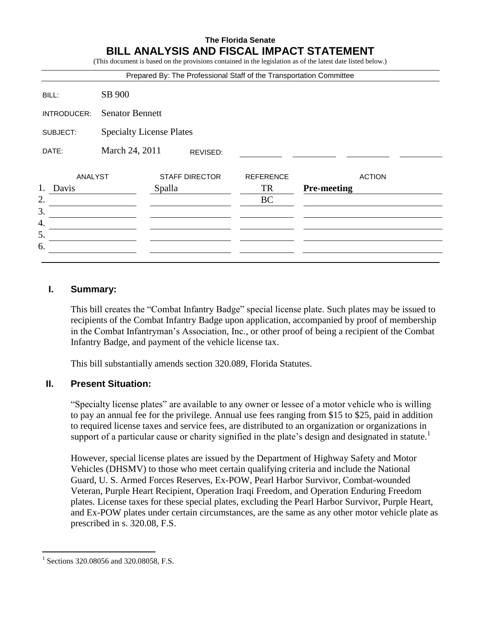# **The Florida Senate BILL ANALYSIS AND FISCAL IMPACT STATEMENT**

(This document is based on the provisions contained in the legislation as of the latest date listed below.)

|             |                                 | Prepared By: The Professional Staff of the Transportation Committee |                  |                    |               |
|-------------|---------------------------------|---------------------------------------------------------------------|------------------|--------------------|---------------|
| BILL:       | SB 900                          |                                                                     |                  |                    |               |
| INTRODUCER: | <b>Senator Bennett</b>          |                                                                     |                  |                    |               |
| SUBJECT:    | <b>Specialty License Plates</b> |                                                                     |                  |                    |               |
| DATE:       | March 24, 2011<br>REVISED:      |                                                                     |                  |                    |               |
| ANALYST     |                                 | <b>STAFF DIRECTOR</b>                                               | <b>REFERENCE</b> |                    | <b>ACTION</b> |
| 1.<br>Davis |                                 | Spalla                                                              | TR               | <b>Pre-meeting</b> |               |
| 2.          |                                 |                                                                     | <b>BC</b>        |                    |               |
| 3.          |                                 |                                                                     |                  |                    |               |
| 4.          |                                 |                                                                     |                  |                    |               |
| 5.          |                                 |                                                                     |                  |                    |               |
| 6.          |                                 |                                                                     |                  |                    |               |
|             |                                 |                                                                     |                  |                    |               |

### **I. Summary:**

This bill creates the "Combat Infantry Badge" special license plate. Such plates may be issued to recipients of the Combat Infantry Badge upon application, accompanied by proof of membership in the Combat Infantryman's Association, Inc., or other proof of being a recipient of the Combat Infantry Badge, and payment of the vehicle license tax.

This bill substantially amends section 320.089, Florida Statutes.

#### **II. Present Situation:**

"Specialty license plates" are available to any owner or lessee of a motor vehicle who is willing to pay an annual fee for the privilege. Annual use fees ranging from \$15 to \$25, paid in addition to required license taxes and service fees, are distributed to an organization or organizations in support of a particular cause or charity signified in the plate's design and designated in statute.<sup>1</sup>

However, special license plates are issued by the Department of Highway Safety and Motor Vehicles (DHSMV) to those who meet certain qualifying criteria and include the National Guard, U. S. Armed Forces Reserves, Ex-POW, Pearl Harbor Survivor, Combat-wounded Veteran, Purple Heart Recipient, Operation Iraqi Freedom, and Operation Enduring Freedom plates. License taxes for these special plates, excluding the Pearl Harbor Survivor, Purple Heart, and Ex-POW plates under certain circumstances, are the same as any other motor vehicle plate as prescribed in s. 320.08, F.S.

 $\overline{a}$ 1 Sections 320.08056 and 320.08058, F.S.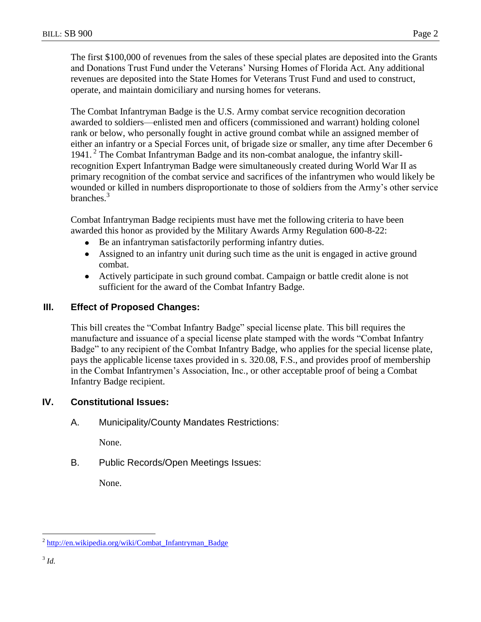The first \$100,000 of revenues from the sales of these special plates are deposited into the Grants and Donations Trust Fund under the Veterans' Nursing Homes of Florida Act. Any additional revenues are deposited into the State Homes for Veterans Trust Fund and used to construct, operate, and maintain domiciliary and nursing homes for veterans.

The Combat Infantryman Badge is the U.S. Army combat service recognition decoration awarded to soldiers—enlisted men and officers (commissioned and warrant) holding colonel rank or below, who personally fought in active ground combat while an assigned member of either an infantry or a Special Forces unit, of brigade size or smaller, any time after December 6 1941.<sup>2</sup> The Combat Infantryman Badge and its non-combat analogue, the infantry skillrecognition Expert Infantryman Badge were simultaneously created during World War II as primary recognition of the combat service and sacrifices of the infantrymen who would likely be wounded or killed in numbers disproportionate to those of soldiers from the Army's other service branches.<sup>3</sup>

Combat Infantryman Badge recipients must have met the following criteria to have been awarded this honor as provided by the Military Awards Army Regulation 600-8-22:

- Be an infantryman satisfactorily performing infantry duties.
- Assigned to an infantry unit during such time as the unit is engaged in active ground combat.
- Actively participate in such ground combat. Campaign or battle credit alone is not sufficient for the award of the Combat Infantry Badge.

# **III. Effect of Proposed Changes:**

This bill creates the "Combat Infantry Badge" special license plate. This bill requires the manufacture and issuance of a special license plate stamped with the words "Combat Infantry Badge" to any recipient of the Combat Infantry Badge, who applies for the special license plate, pays the applicable license taxes provided in s. 320.08, F.S., and provides proof of membership in the Combat Infantrymen's Association, Inc., or other acceptable proof of being a Combat Infantry Badge recipient.

# **IV. Constitutional Issues:**

A. Municipality/County Mandates Restrictions:

None.

B. Public Records/Open Meetings Issues:

None.

 $\overline{a}$ <sup>2</sup> [http://en.wikipedia.org/wiki/Combat\\_Infantryman\\_Badge](http://en.wikipedia.org/wiki/Combat_Infantryman_Badge)